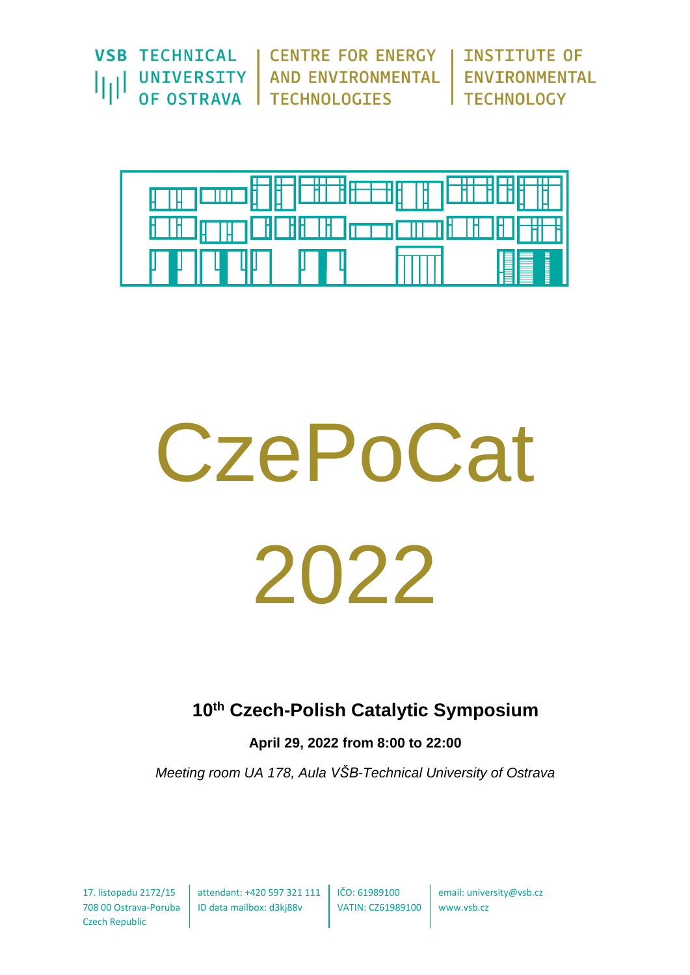|  | VSB TECHNICAL   CENTRE FOR ENERGY   INSTITUTE OF                                           |  |
|--|--------------------------------------------------------------------------------------------|--|
|  | UNIVERSITY   AND ENVIRONMENTAL   ENVIRONMENTAL<br>  OF OSTRAVA   TECHNOLOGIES   TECHNOLOGY |  |
|  |                                                                                            |  |



# **CzePoCat** 2022

# **10th Czech-Polish Catalytic Symposium**

**April 29, 2022 from 8:00 to 22:00** 

*Meeting room UA 178, Aula VŠB-Technical University of Ostrava*

Czech Republic

17. listopadu 2172/15 attendant: +420 597 321 111 IČO: 61989100 708 00 Ostrava-Poruba ID data mailbox: d3kj88v

VATIN: CZ61989100 www.vsb.cz

email: university@vsb.cz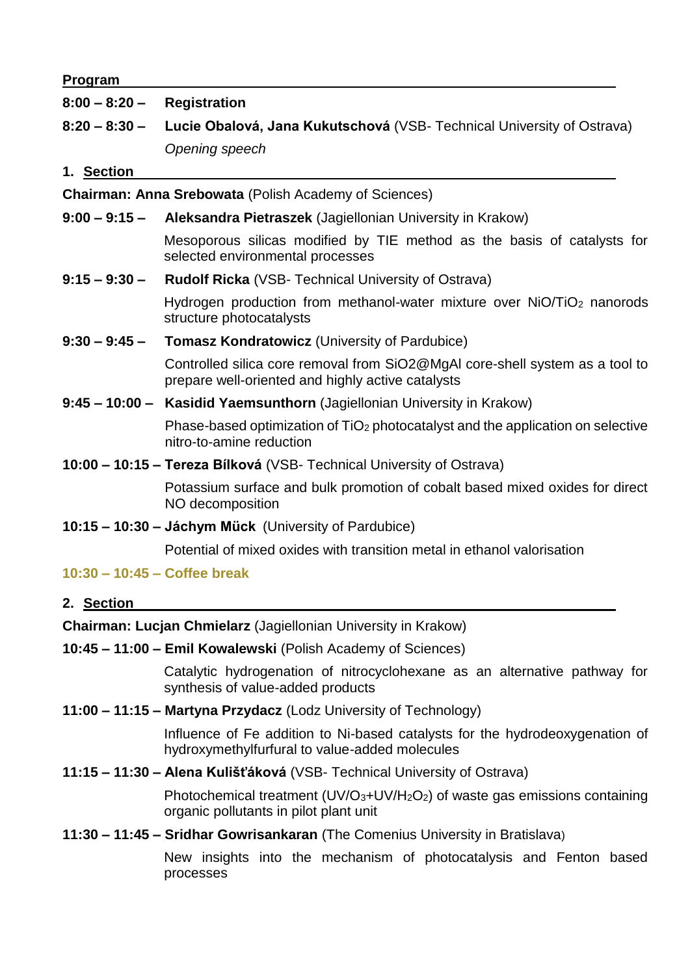#### **Program**

#### **8:00 – 8:20 – Registration**

**8:20 – 8:30 – Lucie Obalová, Jana Kukutschová** (VSB- Technical University of Ostrava) *Opening speech*

#### **1. Section**

**Chairman: Anna Srebowata** (Polish Academy of Sciences)

**9:00 – 9:15 – Aleksandra Pietraszek** (Jagiellonian University in Krakow)

Mesoporous silicas modified by TIE method as the basis of catalysts for selected environmental processes

**9:15 – 9:30 – Rudolf Ricka** (VSB- Technical University of Ostrava)

Hydrogen production from methanol-water mixture over NiO/TiO<sub>2</sub> nanorods structure photocatalysts

**9:30 – 9:45 – Tomasz Kondratowicz** (University of Pardubice)

Controlled silica core removal from SiO2@MgAl core-shell system as a tool to prepare well-oriented and highly active catalysts

**9:45 – 10:00 – Kasidid Yaemsunthorn** (Jagiellonian University in Krakow)

Phase-based optimization of TiO<sub>2</sub> photocatalyst and the application on selective nitro-to-amine reduction

**10:00 – 10:15 – Tereza Bílková** (VSB- Technical University of Ostrava)

Potassium surface and bulk promotion of cobalt based mixed oxides for direct NO decomposition

**10:15 – 10:30 – Jáchym Mück** (University of Pardubice)

Potential of mixed oxides with transition metal in ethanol valorisation

#### **10:30 – 10:45 – Coffee break**

#### **2. Section**

**Chairman: Lucjan Chmielarz** (Jagiellonian University in Krakow)

**10:45 – 11:00 – Emil Kowalewski** (Polish Academy of Sciences)

Catalytic hydrogenation of nitrocyclohexane as an alternative pathway for synthesis of value-added products

**11:00 – 11:15 – Martyna Przydacz** (Lodz University of Technology)

Influence of Fe addition to Ni-based catalysts for the hydrodeoxygenation of hydroxymethylfurfural to value-added molecules

**11:15 – 11:30 – Alena Kulišťáková** (VSB- Technical University of Ostrava)

Photochemical treatment (UV/O3+UV/H2O2) of waste gas emissions containing organic pollutants in pilot plant unit

**11:30 – 11:45 – Sridhar Gowrisankaran** (The Comenius University in Bratislava)

New insights into the mechanism of photocatalysis and Fenton based processes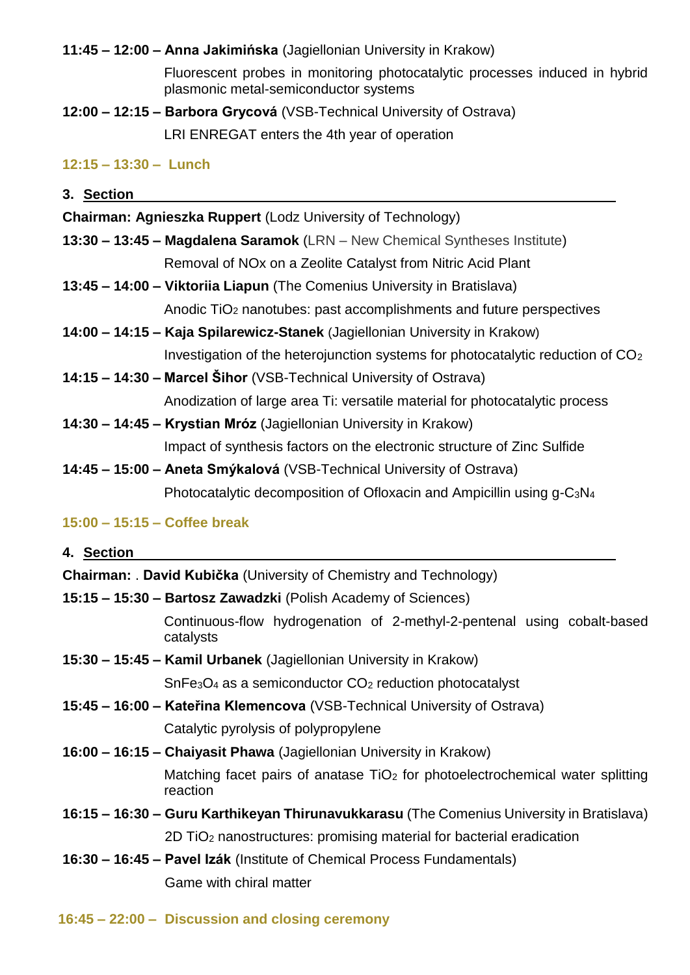**11:45 – 12:00 – Anna Jakimińska** (Jagiellonian University in Krakow)

Fluorescent probes in monitoring photocatalytic processes induced in hybrid plasmonic metal-semiconductor systems

**12:00 – 12:15 – Barbora Grycová** (VSB-Technical University of Ostrava)

LRI ENREGAT enters the 4th year of operation

# **12:15 – 13:30 – Lunch**

| 3. Section |                                                                                   |
|------------|-----------------------------------------------------------------------------------|
|            | <b>Chairman: Agnieszka Ruppert (Lodz University of Technology)</b>                |
|            | <b>13:30 – 13:45 – Magdalena Saramok</b> (LRN – New Chemical Syntheses Institute) |
|            | Removal of NO <sub>x</sub> on a Zeolite Catalyst from Nitric Acid Plant           |
|            | 13:45 - 14:00 - Viktoriia Liapun (The Comenius University in Bratislava)          |
|            | Anodic TiO <sub>2</sub> nanotubes: past accomplishments and future perspectives   |

- **14:00 – 14:15 – Kaja Spilarewicz-Stanek** (Jagiellonian University in Krakow) Investigation of the heterojunction systems for photocatalytic reduction of CO<sup>2</sup>
- **14:15 – 14:30 – Marcel Šihor** (VSB-Technical University of Ostrava) Anodization of large area Ti: versatile material for photocatalytic process
- **14:30 – 14:45 – Krystian Mróz** (Jagiellonian University in Krakow) Impact of synthesis factors on the electronic structure of Zinc Sulfide
- **14:45 – 15:00 – Aneta Smýkalová** (VSB-Technical University of Ostrava) Photocatalytic decomposition of Ofloxacin and Ampicillin using g-C3N<sup>4</sup>

## **15:00 – 15:15 – Coffee break**

## **4. Section**

- **Chairman:** . **David Kubička** (University of Chemistry and Technology)
- **15:15 – 15:30 – Bartosz Zawadzki** (Polish Academy of Sciences)

Continuous-flow hydrogenation of 2-methyl-2-pentenal using cobalt-based catalysts

**15:30 – 15:45 – Kamil Urbanek** (Jagiellonian University in Krakow)

SnFe3O<sup>4</sup> as a semiconductor CO<sup>2</sup> reduction photocatalyst

**15:45 – 16:00 – Kateřina Klemencova** (VSB-Technical University of Ostrava)

Catalytic pyrolysis of polypropylene

- **16:00 – 16:15 – Chaiyasit Phawa** (Jagiellonian University in Krakow) Matching facet pairs of anatase TiO<sub>2</sub> for photoelectrochemical water splitting reaction
- **16:15 – 16:30 – Guru Karthikeyan Thirunavukkarasu** (The Comenius University in Bratislava) 2D TiO<sup>2</sup> nanostructures: promising material for bacterial eradication
- **16:30 – 16:45 – Pavel Izák** (Institute of Chemical Process Fundamentals) Game with chiral matter
- **16:45 – 22:00 – Discussion and closing ceremony**